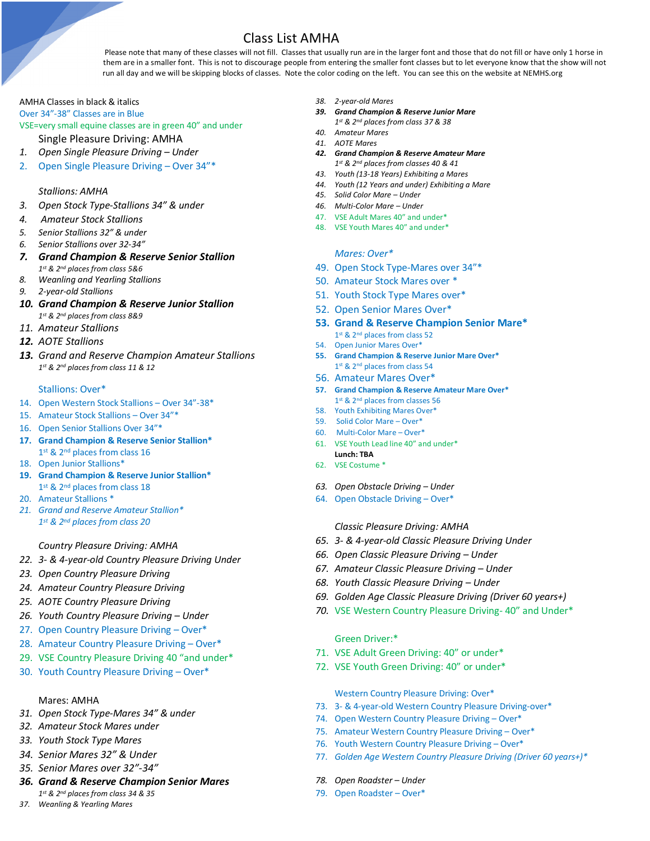Class List AMHA<br>Please note that many of these classes will not fill. Classes that usually run are in the larger font and those that do not fill or have only 1 horse in them are in a smaller font. This is not to discourage people from entering the smaller font classes but to let everyone know that the show will not run all day and we will be skipping blocks of classes. Note the color coding on the left. You can see this on the website at NEMHS.org

# AMHA Classes in black & italics

Over 34"-38" Classes are in Blue

# VSE=very small equine classes are in green 40" and under

Single Pleasure Driving: AMHA

- *1. Open Single Pleasure Driving – Under*
- 2. Open Single Pleasure Driving Over 34"\*

## *Stallions: AMHA*

- *3. Open Stock Type-Stallions 34" & under*
- *4. Amateur Stock Stallions*
- *5. Senior Stallions 32" & under*
- *6. Senior Stallions over 32-34"*
- *7. Grand Champion & Reserve Senior Stallion 1st & 2nd places from class 5&6*
- *8. Weanling and Yearling Stallions*
- *9. 2-year-old Stallions*
- *10. Grand Champion & Reserve Junior Stallion 1st & 2nd places from class 8&9*
- *11. Amateur Stallions*
- *12. AOTE Stallions*
- *13. Grand and Reserve Champion Amateur Stallions 1st & 2nd places from class 11 & 12*

### Stallions: Over\*

- 14. Open Western Stock Stallions Over 34"-38\*
- 15. Amateur Stock Stallions Over 34"\*
- 16. Open Senior Stallions Over 34"\*
- **17. Grand Champion & Reserve Senior Stallion\*** 1st & 2<sup>nd</sup> places from class 16
- 18. Open Junior Stallions\*
- **19. Grand Champion & Reserve Junior Stallion\*** 1st & 2<sup>nd</sup> places from class 18
- 20. Amateur Stallions \*
- *21. Grand and Reserve Amateur Stallion\* 1st & 2nd places from class 20*

# *Country Pleasure Driving: AMHA*

- *22. 3- & 4-year-old Country Pleasure Driving Under*
- *23. Open Country Pleasure Driving*
- *24. Amateur Country Pleasure Driving*
- *25. AOTE Country Pleasure Driving*
- *26. Youth Country Pleasure Driving – Under*
- 27. Open Country Pleasure Driving Over\*
- 28. Amateur Country Pleasure Driving Over\*
- 29. VSE Country Pleasure Driving 40 "and under\*
- 30. Youth Country Pleasure Driving Over\*

### Mares: AMHA

- *31. Open Stock Type-Mares 34" & under*
- *32. Amateur Stock Mares under*
- *33. Youth Stock Type Mares*
- *34. Senior Mares 32" & Under*
- *35. Senior Mares over 32"-34"*
- *36. Grand & Reserve Champion Senior Mares 1st & 2nd places from class 34 & 35*
- *37. Weanling & Yearling Mares*
- *38. 2-year-old Mares*
- *39. Grand Champion & Reserve Junior Mare*
	- *1st & 2nd places from class 37 & 38*
- *40. Amateur Mares 41. AOTE Mares*
- *42. Grand Champion & Reserve Amateur Mare 1st & 2nd places from classes 40 & 41*
- *43. Youth (13-18 Years) Exhibiting a Mares*
- *44. Youth (12 Years and under) Exhibiting a Mare*
- *45. Solid Color Mare – Under*
- *46. Multi-Color Mare – Under*
- 47. VSE Adult Mares 40" and under\*
- 48. VSE Youth Mares 40" and under\*

### *Mares: Over\**

- 49. Open Stock Type-Mares over 34"\*
- 50. Amateur Stock Mares over \*
- 51. Youth Stock Type Mares over\*
- 52. Open Senior Mares Over\*
- **53. Grand & Reserve Champion Senior Mare\*** 1st & 2<sup>nd</sup> places from class 52
- 54. Open Junior Mares Over\*
- **55. Grand Champion & Reserve Junior Mare Over\*** 1st & 2<sup>nd</sup> places from class 54
- 56. Amateur Mares Over\*
- **57. Grand Champion & Reserve Amateur Mare Over\***
- 1st & 2<sup>nd</sup> places from classes 56
- 58. Youth Exhibiting Mares Over\*
- 59. Solid Color Mare Over\*
- 60. Multi-Color Mare Over\*
- 61. VSE Youth Lead line 40" and under\* **Lunch: TBA**
- 62. VSE Costume \*
- *63. Open Obstacle Driving – Under*
- 64. Open Obstacle Driving Over\*

*Classic Pleasure Driving: AMHA*

- *65. 3- & 4-year-old Classic Pleasure Driving Under*
- *66. Open Classic Pleasure Driving – Under*
- *67. Amateur Classic Pleasure Driving – Under*
- *68. Youth Classic Pleasure Driving – Under*
- *69. Golden Age Classic Pleasure Driving (Driver 60 years+)*
- *70.* VSE Western Country Pleasure Driving- 40" and Under\*

# Green Driver:\*

- 71. VSE Adult Green Driving: 40" or under\*
- 72. VSE Youth Green Driving: 40" or under\*

Western Country Pleasure Driving: Over\*

- 73. 3- & 4-year-old Western Country Pleasure Driving-over\*
- 74. Open Western Country Pleasure Driving Over\*
- 75. Amateur Western Country Pleasure Driving Over\*
- 76. Youth Western Country Pleasure Driving Over\*
- 77. *Golden Age Western Country Pleasure Driving (Driver 60 years+)\**
- *78. Open Roadster – Under*
- 79. Open Roadster Over\*